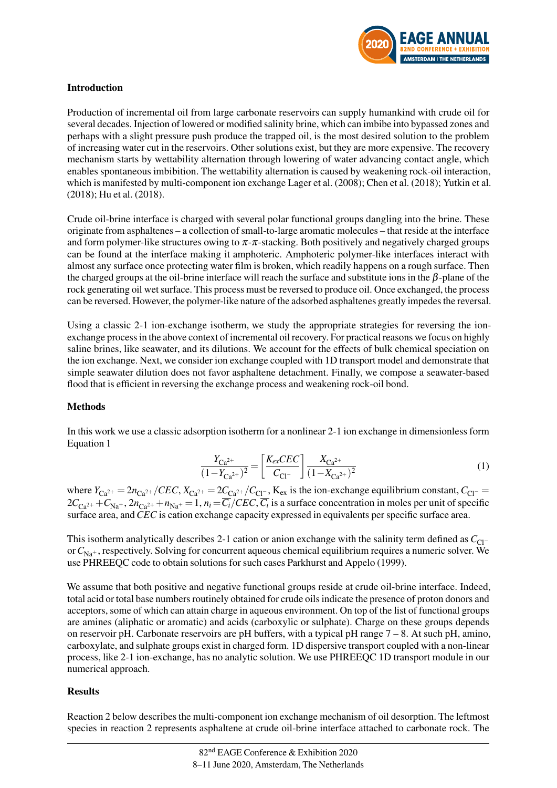

## Introduction

Production of incremental oil from large carbonate reservoirs can supply humankind with crude oil for several decades. Injection of lowered or modified salinity brine, which can imbibe into bypassed zones and perhaps with a slight pressure push produce the trapped oil, is the most desired solution to the problem of increasing water cut in the reservoirs. Other solutions exist, but they are more expensive. The recovery mechanism starts by wettability alternation through lowering of water advancing contact angle, which enables spontaneous imbibition. The wettability alternation is caused by weakening rock-oil interaction, which is manifested by multi-component ion exchange [Lager et al.](#page-3-0) [\(2008\)](#page-3-0); [Chen et al.](#page-3-1) [\(2018\)](#page-3-1); [Yutkin et al.](#page-3-2) [\(2018\)](#page-3-2); [Hu et al.](#page-3-3) [\(2018\)](#page-3-3).

Crude oil-brine interface is charged with several polar functional groups dangling into the brine. These originate from asphaltenes – a collection of small-to-large aromatic molecules – that reside at the interface and form polymer-like structures owing to  $\pi$ - $\pi$ -stacking. Both positively and negatively charged groups can be found at the interface making it amphoteric. Amphoteric polymer-like interfaces interact with almost any surface once protecting water film is broken, which readily happens on a rough surface. Then the charged groups at the oil-brine interface will reach the surface and substitute ions in the  $\beta$ -plane of the rock generating oil wet surface. This process must be reversed to produce oil. Once exchanged, the process can be reversed. However, the polymer-like nature of the adsorbed asphaltenes greatly impedes the reversal.

Using a classic 2-1 ion-exchange isotherm, we study the appropriate strategies for reversing the ionexchange process in the above context of incremental oil recovery. For practical reasons we focus on highly saline brines, like seawater, and its dilutions. We account for the effects of bulk chemical speciation on the ion exchange. Next, we consider ion exchange coupled with 1D transport model and demonstrate that simple seawater dilution does not favor asphaltene detachment. Finally, we compose a seawater-based flood that is efficient in reversing the exchange process and weakening rock-oil bond.

## Methods

<span id="page-0-0"></span>In this work we use a classic adsorption isotherm for a nonlinear 2-1 ion exchange in dimensionless form [Equation 1](#page-0-0)

$$
\frac{Y_{\text{Ca}^{2+}}}{(1 - Y_{\text{Ca}^{2+}})^2} = \left[\frac{K_{\text{ex}}CEC}{C_{\text{Cl}^-}}\right] \frac{X_{\text{Ca}^{2+}}}{(1 - X_{\text{Ca}^{2+}})^2} \tag{1}
$$

where  $Y_{Ca^{2+}} = 2n_{Ca^{2+}}/CEC$ ,  $X_{Ca^{2+}} = 2C_{Ca^{2+}}/C_{Cl^-}$ ,  $K_{ex}$  is the ion-exchange equilibrium constant,  $C_{Cl^-} =$  $2C_{Ca^{2+}} + C_{Na^{+}}$ ,  $2n_{Ca^{2+}} + n_{Na^{+}} = 1$ ,  $n_i = C_i/CEC$ ,  $C_i$  is a surface concentration in moles per unit of specific surface area, and*CEC* is cation exchange capacity expressed in equivalents per specific surface area.

This isotherm analytically describes 2-1 cation or anion exchange with the salinity term defined as *C*<sub>Cl</sub>− or  $C_{N_a}$ , respectively. Solving for concurrent aqueous chemical equilibrium requires a numeric solver. We use PHREEQC code to obtain solutions for such cases [Parkhurst and Appelo](#page-3-4) [\(1999\)](#page-3-4).

We assume that both positive and negative functional groups reside at crude oil-brine interface. Indeed, total acid or total base numbers routinely obtained for crude oils indicate the presence of proton donors and acceptors, some of which can attain charge in aqueous environment. On top of the list of functional groups are amines (aliphatic or aromatic) and acids (carboxylic or sulphate). Charge on these groups depends on reservoir pH. Carbonate reservoirs are pH buffers, with a typical pH range 7 – 8. At such pH, amino, carboxylate, and sulphate groups exist in charged form. 1D dispersive transport coupled with a non-linear process, like 2-1 ion-exchange, has no analytic solution. We use PHREEQC 1D transport module in our numerical approach.

# Results

Reaction [2](#page-1-0) below describes the multi-component ion exchange mechanism of oil desorption. The leftmost species in reaction [2](#page-1-0) represents asphaltene at crude oil-brine interface attached to carbonate rock. The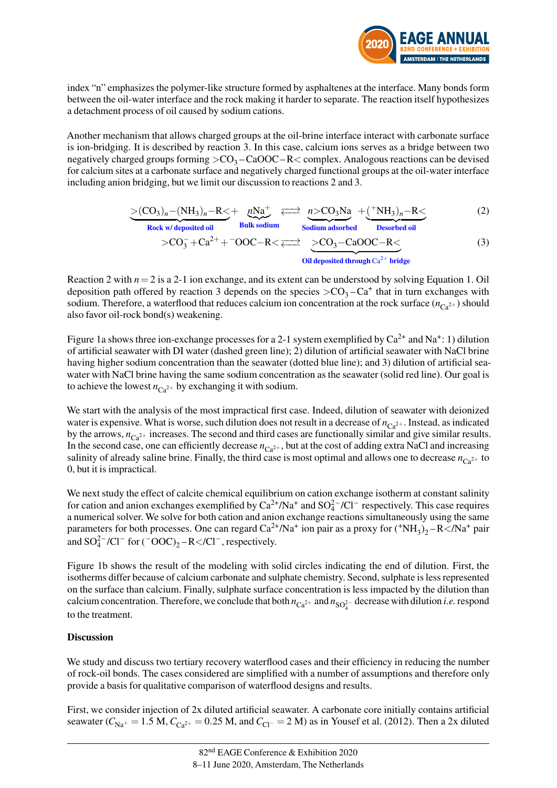<span id="page-1-1"></span><span id="page-1-0"></span>

index "n" emphasizes the polymer-like structure formed by asphaltenes at the interface. Many bonds form between the oil-water interface and the rock making it harder to separate. The reaction itself hypothesizes a detachment process of oil caused by sodium cations.

Another mechanism that allows charged groups at the oil-brine interface interact with carbonate surface is ion-bridging. It is described by reaction [3.](#page-1-1) In this case, calcium ions serves as a bridge between two negatively charged groups forming  $>$ CO<sub>3</sub> – CaOOC – R  $<$  complex. Analogous reactions can be devised for calcium sites at a carbonate surface and negatively charged functional groups at the oil-water interface including anion bridging, but we limit our discussion to reactions [2](#page-1-0) and [3.](#page-1-1)

$$
\underbrace{>(CO_3)_n - (NH_3)_n - R}{Rock\ w/deposited\ oil} + \underbrace{nNa^+}_{Bulk\ sodium} \xleftarrow{\text{m} > CO_3Na} + (\underbrace{+NH_3)_n - R<}_{Desorbed\ oil}
$$
 (2)

$$
> CO_3^- + Ca^{2+} + \text{TOOC}-R < \implies \underbrace{> CO_3 - CaOOC-R}_{\text{Oil deposited through Ca}^{2+} \text{ bridge}} \tag{3}
$$

Reaction [2](#page-1-0) with  $n = 2$  is a 2-1 ion exchange, and its extent can be understood by solving [Equation 1.](#page-0-0) Oil deposition path offered by reaction [3](#page-1-1) depends on the species  $>CO<sub>3</sub>-Ca<sup>+</sup>$  that in turn exchanges with sodium. Therefore, a waterflood that reduces calcium ion concentration at the rock surface  $(n_{C<sub>2</sub>2+})$  should also favor oil-rock bond(s) weakening.

[Figure 1a](#page-2-0) shows three ion-exchange processes for a 2-1 system exemplified by  $Ca^{2+}$  and  $Na^{+}$ : 1) dilution of artificial seawater with DI water (dashed green line); 2) dilution of artificial seawater with NaCl brine having higher sodium concentration than the seawater (dotted blue line); and 3) dilution of artificial seawater with NaCl brine having the same sodium concentration as the seawater (solid red line). Our goal is to achieve the lowest  $n_{Ca^{2+}}$  by exchanging it with sodium.

We start with the analysis of the most impractical first case. Indeed, dilution of seawater with deionized water is expensive. What is worse, such dilution does not result in a decrease of  $n_{C_2^2+}$ . Instead, as indicated by the arrows,  $n_{\text{Ca}^{2+}}$  increases. The second and third cases are functionally similar and give similar results. In the second case, one can efficiently decrease  $n_{Ca^{2+}}$ , but at the cost of adding extra NaCl and increasing salinity of already saline brine. Finally, the third case is most optimal and allows one to decrease  $n_{Ca^{2+}}$  to 0, but it is impractical.

We next study the effect of calcite chemical equilibrium on cation exchange isotherm at constant salinity for cation and anion exchanges exemplified by  $Ca^{2+}/Na^{+}$  and  $SO_4^{2-}/Cl^{-}$  respectively. This case requires a numerical solver. We solve for both cation and anion exchange reactions simultaneously using the same parameters for both processes. One can regard  $Ca^{2+}/Na^{+}$  ion pair as a proxy for  $(^{+}NH_{3})_{2} - R <$ /Na<sup>+</sup> pair and  $SO_4^{2-}/Cl^-$  for  $(\overline{OOC})_2 - R \lt UCl^-$ , respectively.

[Figure 1b](#page-2-0) shows the result of the modeling with solid circles indicating the end of dilution. First, the isotherms differ because of calcium carbonate and sulphate chemistry. Second, sulphate is less represented on the surface than calcium. Finally, sulphate surface concentration is less impacted by the dilution than calcium concentration. Therefore, we conclude that both  $n_{Ca^{2+}}$  and  $n_{SO_4^{2-}}$  decrease with dilution *i.e.* respond to the treatment.

# **Discussion**

We study and discuss two tertiary recovery waterflood cases and their efficiency in reducing the number of rock-oil bonds. The cases considered are simplified with a number of assumptions and therefore only provide a basis for qualitative comparison of waterflood designs and results.

First, we consider injection of 2x diluted artificial seawater. A carbonate core initially contains artificial seawater ( $C_{\text{Na}^+}$  = 1.5 M,  $C_{\text{Ca}^{2+}}$  = 0.25 M, and  $C_{\text{Cl}^-}$  = 2 M) as in [Yousef et al.](#page-3-5) [\(2012\)](#page-3-5). Then a 2x diluted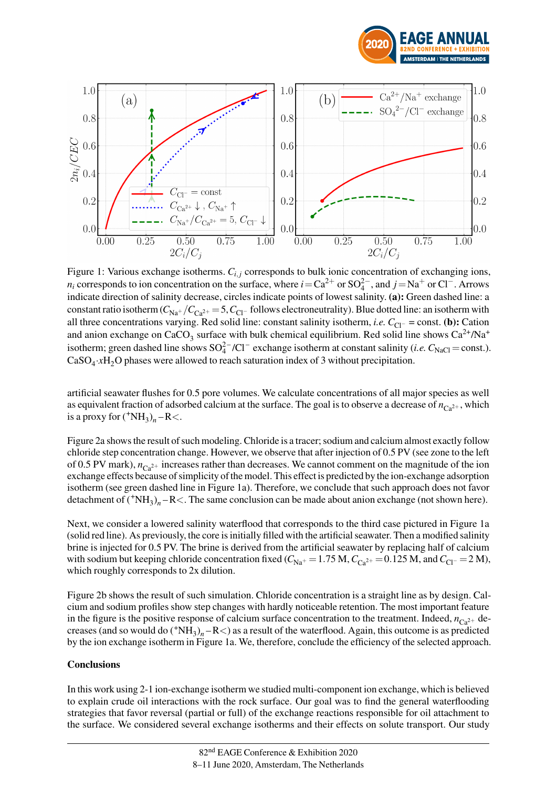

<span id="page-2-0"></span>

Figure 1: Various exchange isotherms.  $C_{i,j}$  corresponds to bulk ionic concentration of exchanging ions,  $n_i$  corresponds to ion concentration on the surface, where  $i = Ca^{2+}$  or SO<sub>4</sub><sup> $-$ </sup>, and  $j = Na^{+}$  or Cl<sup>−</sup>. Arrows indicate direction of salinity decrease, circles indicate points of lowest salinity. (a): Green dashed line: a constant ratio isotherm  $(C_{\text{Na}^+}/C_{\text{Ca}^{2+}} = 5, C_{\text{Cl}^-}$  follows electroneutrality). Blue dotted line: an isotherm with all three concentrations varying. Red solid line: constant salinity isotherm, *i.e.*  $C_{Cl}$ − = const. (**b**): Cation and anion exchange on CaCO<sub>3</sub> surface with bulk chemical equilibrium. Red solid line shows Ca<sup>2+</sup>/Na<sup>+</sup> isotherm; green dashed line shows  $SO_4^{2-}/Cl^-$  exchange isotherm at constant salinity (*i.e.*  $C_{\text{NaCl}} = \text{const.}$ ).  $CaSO_4 \cdot xH_2$ O phases were allowed to reach saturation index of 3 without precipitation.

artificial seawater flushes for 0.5 pore volumes. We calculate concentrations of all major species as well as equivalent fraction of adsorbed calcium at the surface. The goal is to observe a decrease of  $n_{C_2^2+}$ , which is a proxy for  $({}^{+}NH_3)_n - R <$ .

[Figure 2a](#page-3-6) shows the result of such modeling. Chloride is a tracer; sodium and calcium almost exactly follow chloride step concentration change. However, we observe that after injection of 0.5 PV (see zone to the left of 0.5 PV mark),  $n_{\text{Ca}^{2+}}$  increases rather than decreases. We cannot comment on the magnitude of the ion exchange effects because of simplicity of the model. This effect is predicted by the ion-exchange adsorption isotherm (see green dashed line in [Figure 1a\)](#page-2-0). Therefore, we conclude that such approach does not favor detachment of  $({}^{+}NH_3)_n - R <$ . The same conclusion can be made about anion exchange (not shown here).

Next, we consider a lowered salinity waterflood that corresponds to the third case pictured in [Figure 1a](#page-2-0) (solid red line). As previously, the core is initially filled with the artificial seawater. Then a modified salinity brine is injected for 0.5 PV. The brine is derived from the artificial seawater by replacing half of calcium with sodium but keeping chloride concentration fixed ( $C_{\text{Na}^+}$  = 1.75 M,  $C_{\text{Ca}^2+}$  = 0.125 M, and  $C_{\text{Cl}^-}$  = 2 M), which roughly corresponds to 2x dilution.

[Figure 2b](#page-3-6) shows the result of such simulation. Chloride concentration is a straight line as by design. Calcium and sodium profiles show step changes with hardly noticeable retention. The most important feature in the figure is the positive response of calcium surface concentration to the treatment. Indeed,  $n_{Ca^{2+}}$  decreases (and so would do  $({}^{+}NH_3)_n - R$ <) as a result of the waterflood. Again, this outcome is as predicted by the ion exchange isotherm in [Figure 1a.](#page-2-0) We, therefore, conclude the efficiency of the selected approach.

## **Conclusions**

In this work using 2-1 ion-exchange isotherm we studied multi-component ion exchange, which is believed to explain crude oil interactions with the rock surface. Our goal was to find the general waterflooding strategies that favor reversal (partial or full) of the exchange reactions responsible for oil attachment to the surface. We considered several exchange isotherms and their effects on solute transport. Our study